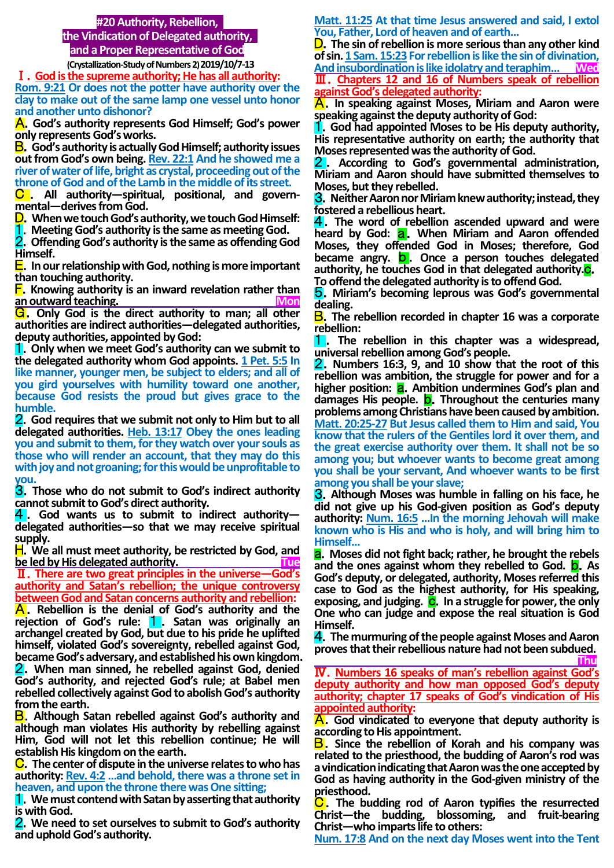### **#20 Authority, Rebellion,**

**the Vindication of Delegated authority, and a Proper Representative of God**

 **(Crystallization-Study of Numbers 2) 2019/10/7-13** Ⅰ.**God is the supreme authority; He has all authority:** 

**Rom. 9:21 Or does not the potter have authority over the clay to make out of the same lamp one vessel unto honor and another unto dishonor?**

A.**God's authority represents God Himself; God's power only represents God's works.**

B.**God's authority is actually God Himself; authority issues out from God's own being. Rev. 22:1 And he showed me a river of water of life, bright as crystal, proceeding out of the throne of God and of the Lamb in the middle of its street.**

C . **All authority—spiritual, positional, and governmental—derives from God.**

- D.**When we touch God's authority, we touch God Himself:**
- 1.**Meeting God's authority is the same as meeting God.**

2.**Offending God's authority is the same as offending God Himself.**

E.**In our relationship with God, nothing is more important than touching authority.**

F.**Knowing authority is an inward revelation rather than an outward teaching.** 

G.**Only God is the direct authority to man; all other authorities are indirect authorities—delegated authorities, deputy authorities, appointed by God:**

1.**Only when we meet God's authority can we submit to the delegated authority whom God appoints. 1 Pet. 5:5 In like manner, younger men, be subject to elders; and all of you gird yourselves with humility toward one another, because God resists the proud but gives grace to the humble.**

2.**God requires that we submit not only to Him but to all delegated authorities. Heb. 13:17 Obey the ones leading you and submit to them, for they watch over your souls as those who will render an account, that they may do this with joy and not groaning; for this would be unprofitable to you.**

3.**Those who do not submit to God's indirect authority cannot submit to God's direct authority.**

4 . **God wants us to submit to indirect authority delegated authorities—so that we may receive spiritual supply.**

H.**We all must meet authority, be restricted by God, and be led by His delegated authority.** The lead of the state of the state of the state of the state of the state of the state of the state of the state of the state of the state of the state of the state of the state of the

Ⅱ.**There are two great principles in the universe—God's authority and Satan's rebellion; the unique controversy between God and Satan concerns authority and rebellion:**

A.**Rebellion is the denial of God's authority and the rejection of God's rule:** 1 . **Satan was originally an archangel created by God, but due to his pride he uplifted himself, violated God's sovereignty, rebelled against God, became God's adversary, and established his own kingdom.**  2.**When man sinned, he rebelled against God, denied** 

**God's authority, and rejected God's rule; at Babel men rebelled collectively against God to abolish God's authority from the earth.**

B.**Although Satan rebelled against God's authority and although man violates His authority by rebelling against Him, God will not let this rebellion continue; He will establish His kingdom on the earth.**

C.**The center of dispute in the universe relates to who has authority: Rev. 4:2 …and behold, there was a throne set in heaven, and upon the throne there was One sitting;**

1.**We must contend with Satan by asserting that authority is with God.** 

2.**We need to set ourselves to submit to God's authority and uphold God's authority.**

**Matt. 11:25 At that time Jesus answered and said, I extol You, Father, Lord of heaven and of earth…**

D.**The sin of rebellion is more serious than any other kind of sin. 1 Sam. 15:23For rebellion is like the sin of divination, And insubordination is like idolatry and teraphim… Wed** Ⅲ.**Chapters 12 and 16 of Numbers speak of rebellion against God's delegated authority:**

A.**In speaking against Moses, Miriam and Aaron were speaking against the deputy authority of God:** 

1.**God had appointed Moses to be His deputy authority, His representative authority on earth; the authority that Moses represented was the authority of God.**

2 . **According to God's governmental administration, Miriam and Aaron should have submitted themselves to Moses, but they rebelled.**

3.**Neither Aaron nor Miriam knew authority; instead, they fostered a rebellious heart.**

4.**The word of rebellion ascended upward and were heard by God:** a.**When Miriam and Aaron offended Moses, they offended God in Moses; therefore, God became angry.** b . **Once a person touches delegated authority, he touches God in that delegated authority.**c. **To offend the delegated authority is to offend God.**

5.**Miriam's becoming leprous was God's governmental dealing.**

B.**The rebellion recorded in chapter 16 was a corporate rebellion:** 

1 . **The rebellion in this chapter was a widespread, universal rebellion among God's people.**

2.**Numbers 16:3, 9, and 10 show that the root of this rebellion was ambition, the struggle for power and for a higher position:** a.**Ambition undermines God's plan and damages His people.** b.**Throughout the centuries many**  problems among Christians have been caused by ambition. **Matt. 20:25-27 But Jesus called them to Him and said, You know that the rulers of the Gentiles lord it over them, and the great exercise authority over them. It shall not be so among you; but whoever wants to become great among you shall be your servant, And whoever wants to be first among you shall be your slave;**

3.**Although Moses was humble in falling on his face, he did not give up his God-given position as God's deputy authority: Num. 16:5 …In the morning Jehovah will make known who is His and who is holy, and will bring him to Himself…** 

a.**Moses did not fight back; rather, he brought the rebels and the ones against whom they rebelled to God.** b.**As God's deputy, or delegated, authority, Moses referred this case to God as the highest authority, for His speaking,**  exposing, and judging. C. In a struggle for power, the only **One who can judge and expose the real situation is God Himself.** 

4.**The murmuring of the people against Moses and Aaron proves that their rebellious nature had not been subdued. Thu** 

Ⅳ.**Numbers 16 speaks of man's rebellion against God's deputy authority and how man opposed God's deputy authority; chapter 17 speaks of God's vindication of His appointed authority:**

A.**God vindicated to everyone that deputy authority is according to His appointment.**

B.**Since the rebellion of Korah and his company was related to the priesthood, the budding of Aaron's rod was a vindication indicating that Aaron was the one accepted by God as having authority in the God-given ministry of the priesthood.**

C.**The budding rod of Aaron typifies the resurrected Christ—the budding, blossoming, and fruit-bearing Christ—who imparts life to others:** 

**Num. 17:8 And on the next day Moses went into the Tent**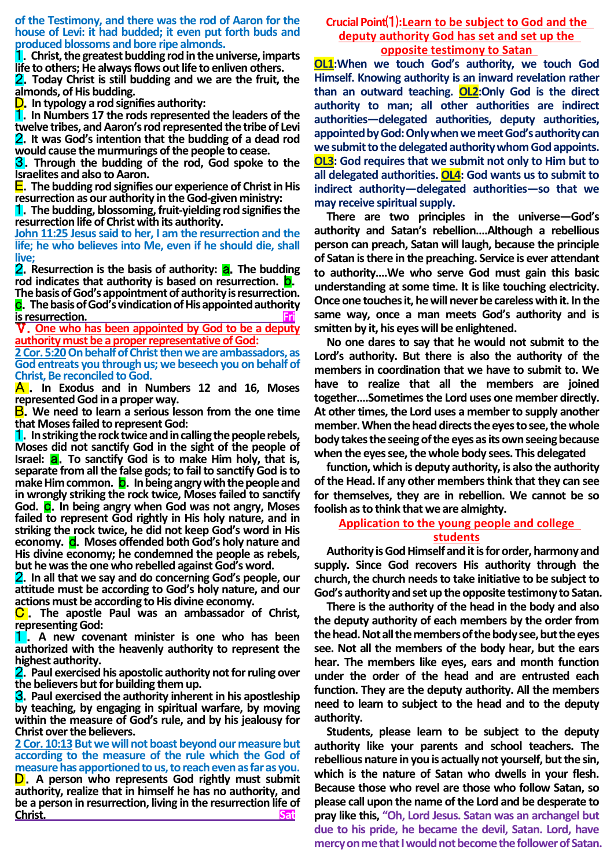**of the Testimony, and there was the rod of Aaron for the house of Levi: it had budded; it even put forth buds and produced blossoms and bore ripe almonds.**

1.**Christ, the greatest budding rod in the universe, imparts life to others; He always flows out life to enliven others.**

2.**Today Christ is still budding and we are the fruit, the almonds, of His budding.**

D.**In typology a rod signifies authority:**

1.**In Numbers 17 the rods represented the leaders of the twelve tribes, and Aaron's rod represented the tribe of Levi** 2.**It was God's intention that the budding of a dead rod would cause the murmurings of the people to cease.**

3.**Through the budding of the rod, God spoke to the Israelites and also to Aaron.**

E.**The budding rod signifies our experience of Christ in His resurrection as our authority in the God-given ministry:**

1.**The budding, blossoming, fruit-yielding rod signifies the resurrection life of Christ with its authority.** 

**John 11:25 Jesus said to her, I am the resurrection and the life; he who believes into Me, even if he should die, shall live;**

**2.** Resurrection is the basis of authority: **a**. The budding **rod indicates that authority is based on resurrection.** b.

**The basis of God's appointment of authority is resurrection.**  c.**The basis of God's vindication of His appointed authority is resurrection.** 

Ⅴ.**One who has been appointed by God to be a deputy authority must be a proper representative of God:**

**2 Cor. 5:20On behalf of Christ then we are ambassadors, as God entreats you through us; we beseech you on behalf of Christ, Be reconciled to God.**

A . **In Exodus and in Numbers 12 and 16, Moses represented God in a proper way.**

B.**We need to learn a serious lesson from the one time that Moses failed to represent God:**

1.**In striking the rock twice and in calling the people rebels, Moses did not sanctify God in the sight of the people of Israel: <b>a**. To sanctify God is to make Him holy, that is, **separate from all the false gods; to fail to sanctify God is to make Him common. b.** In being angry with the people and **in wrongly striking the rock twice, Moses failed to sanctify God.** c.**In being angry when God was not angry, Moses failed to represent God rightly in His holy nature, and in striking the rock twice, he did not keep God's word in His**  economy. **d.** Moses offended both God's holy nature and **His divine economy; he condemned the people as rebels, but he was the one who rebelled against God's word.**

2.**In all that we say and do concerning God's people, our attitude must be according to God's holy nature, and our actions must be according to His divine economy.**

C . **The apostle Paul was an ambassador of Christ, representing God:** 

**1** . A new covenant minister is one who has been **authorized with the heavenly authority to represent the highest authority.**

2.**Paul exercised his apostolic authority not for ruling over the believers but for building them up.**

3.**Paul exercised the authority inherent in his apostleship by teaching, by engaging in spiritual warfare, by moving within the measure of God's rule, and by his jealousy for Christ over the believers.**

**2 Cor. 10:13But we will not boast beyond our measure but according to the measure of the rule which the God of measure has apportioned to us, to reach even as far as you.** D.**A person who represents God rightly must submit** 

**authority, realize that in himself he has no authority, and be a person in resurrection, living in the resurrection life of Christ.** Sat

## **Crucial Point**⑴**:Learn to be subject to God and the deputy authority God has set and set up the opposite testimony to Satan**

**OL1:When we touch God's authority, we touch God Himself. Knowing authority is an inward revelation rather than an outward teaching. OL2:Only God is the direct authority to man; all other authorities are indirect authorities—delegated authorities, deputy authorities, appointed by God: Only when we meet God's authority can we submit to the delegated authority whom God appoints. OL3: God requires that we submit not only to Him but to all delegated authorities. OL4: God wants us to submit to indirect authority—delegated authorities—so that we may receive spiritual supply.**

**There are two principles in the universe—God's authority and Satan's rebellion….Although a rebellious person can preach, Satan will laugh, because the principle of Satan is there in the preaching. Service is ever attendant to authority….We who serve God must gain this basic understanding at some time. It is like touching electricity. Once one touches it, he will never be careless with it. In the same way, once a man meets God's authority and is smitten by it, his eyes will be enlightened.**

**No one dares to say that he would not submit to the Lord's authority. But there is also the authority of the members in coordination that we have to submit to. We have to realize that all the members are joined together….Sometimes the Lord uses one member directly. At other times, the Lord uses a member to supply another member. When the head directs the eyes to see, the whole body takes the seeing of the eyes as its own seeing because when the eyes see, the whole body sees. This delegated**

**function, which is deputy authority, is also the authority of the Head. If any other members think that they can see for themselves, they are in rebellion. We cannot be so foolish as to think that we are almighty.** 

## **Application to the young people and college students**

**Authority is God Himself and it is for order, harmony and supply. Since God recovers His authority through the church, the church needs to take initiative to be subject to God's authority and set up the opposite testimony to Satan.** 

**There is the authority of the head in the body and also the deputy authority of each members by the order from the head. Not all the members of the body see, but the eyes see. Not all the members of the body hear, but the ears hear. The members like eyes, ears and month function under the order of the head and are entrusted each function. They are the deputy authority. All the members need to learn to subject to the head and to the deputy authority.** 

**Students, please learn to be subject to the deputy authority like your parents and school teachers. The rebellious nature in you is actually not yourself, but the sin, which is the nature of Satan who dwells in your flesh. Because those who revel are those who follow Satan, so please call upon the name of the Lord and be desperate to pray like this, "Oh, Lord Jesus. Satan was an archangel but due to his pride, he became the devil, Satan. Lord, have mercy on me that I would not become the follower of Satan.**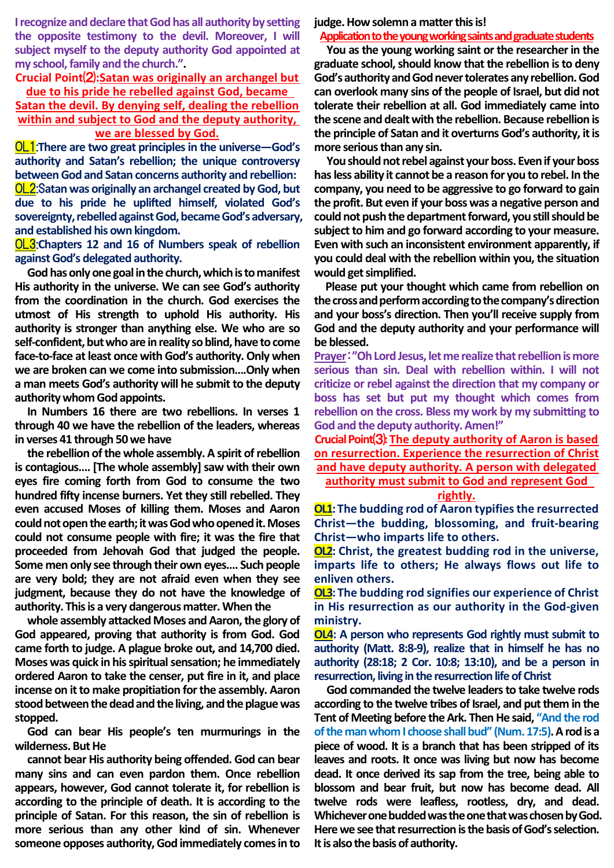**I recognize and declare that God has all authority by setting the opposite testimony to the devil. Moreover, I will subject myself to the deputy authority God appointed at my school, family and the church.".** 

# **Crucial Point**⑵**:Satan was originally an archangel but**

**due to his pride he rebelled against God, became Satan the devil. By denying self, dealing the rebellion within and subject to God and the deputy authority,** 

# **we are blessed by God.**

OL1:**There are two great principles in the universe—God's authority and Satan's rebellion; the unique controversy between God and Satan concerns authority and rebellion:** OL2:S**atan was originally an archangel created by God, but due to his pride he uplifted himself, violated God's sovereignty, rebelled against God, became God's adversary, and established his own kingdom.**

OL3:**Chapters 12 and 16 of Numbers speak of rebellion against God's delegated authority.**

**God has only one goal in the church, which is to manifest His authority in the universe. We can see God's authority from the coordination in the church. God exercises the utmost of His strength to uphold His authority. His authority is stronger than anything else. We who are so self-confident, but who are in reality so blind, have to come face-to-face at least once with God's authority. Only when we are broken can we come into submission….Only when a man meets God's authority will he submit to the deputy authority whom God appoints.** 

**In Numbers 16 there are two rebellions. In verses 1 through 40 we have the rebellion of the leaders, whereas in verses 41 through 50 we have**

**the rebellion of the whole assembly. A spirit of rebellion is contagious…. [The whole assembly] saw with their own eyes fire coming forth from God to consume the two hundred fifty incense burners. Yet they still rebelled. They even accused Moses of killing them. Moses and Aaron could not open the earth; it was God who opened it. Moses could not consume people with fire; it was the fire that proceeded from Jehovah God that judged the people. Some men only see through their own eyes…. Such people are very bold; they are not afraid even when they see judgment, because they do not have the knowledge of authority. This is a very dangerous matter. When the**

**whole assembly attacked Moses and Aaron, the glory of God appeared, proving that authority is from God. God came forth to judge. A plague broke out, and 14,700 died. Moses was quick in his spiritual sensation; he immediately ordered Aaron to take the censer, put fire in it, and place incense on it to make propitiation for the assembly. Aaron stood between the dead and the living, and the plague was stopped.** 

**God can bear His people's ten murmurings in the wilderness. But He**

**cannot bear His authority being offended. God can bear many sins and can even pardon them. Once rebellion appears, however, God cannot tolerate it, for rebellion is according to the principle of death. It is according to the principle of Satan. For this reason, the sin of rebellion is more serious than any other kind of sin. Whenever someone opposes authority, God immediately comes in to** 

**judge. How solemn a matter this is!**

#### **Application to the young working saints and graduate students**

**You as the young working saint or the researcher in the graduate school, should know that the rebellion is to deny God's authority and God never tolerates any rebellion. God can overlook many sins of the people of Israel, but did not tolerate their rebellion at all. God immediately came into the scene and dealt with the rebellion. Because rebellion is the principle of Satan and it overturns God's authority, it is more serious than any sin.**

**You should not rebel against your boss. Even if your boss has less ability it cannot be a reason for you to rebel. In the company, you need to be aggressive to go forward to gain the profit. But even if your boss was a negative person and**  could not push the department forward, you still should be **subject to him and go forward according to your measure. Even with such an inconsistent environment apparently, if you could deal with the rebellion within you, the situation would get simplified.**

**Please put your thought which came from rebellion on the cross and perform according to the company's direction and your boss's direction. Then you'll receive supply from God and the deputy authority and your performance will be blessed.** 

**Prayer**:**"Oh Lord Jesus, let me realize that rebellionismore serious than sin. Deal with rebellion within. I will not criticize or rebel against the direction that my company or boss has set but put my thought which comes from rebellion on the cross. Bless my work by my submitting to God and the deputy authority. Amen!"**

**Crucial Point**⑶**:The deputy authority of Aaron is based on resurrection. Experience the resurrection of Christ and have deputy authority. A person with delegated**

**authority must submit to God and represent God** 

**rightly.**

**OL1:** The budding rod of Aaron typifies the resurrected **Christ—the budding, blossoming, and fruit-bearing Christ—who imparts life to others.**

**OL2: Christ, the greatest budding rod in the universe, imparts life to others; He always flows out life to enliven others.**

**OL3: The budding rod signifies our experience of Christ in His resurrection as our authority in the God-given ministry.**

**OL4: A person who represents God rightly must submit to authority (Matt. 8:8-9), realize that in himself he has no authority (28:18; 2 Cor. 10:8; 13:10), and be a person in resurrection, living in the resurrection life of Christ**

**God commanded the twelve leaders to take twelve rods according to the twelve tribes of Israel, and put them in the Tent of Meeting before the Ark. Then He said, "And the rod of the man whom I choose shall bud" (Num. 17:5).Arod is a piece of wood. It is a branch that has been stripped of its leaves and roots. It once was living but now has become dead. It once derived its sap from the tree, being able to blossom and bear fruit, but now has become dead. All twelve rods were leafless, rootless, dry, and dead. Whichever onebudded was the one that was chosen by God. Here we see that resurrection isthe basis of God's selection. It is also the basis of authority.**